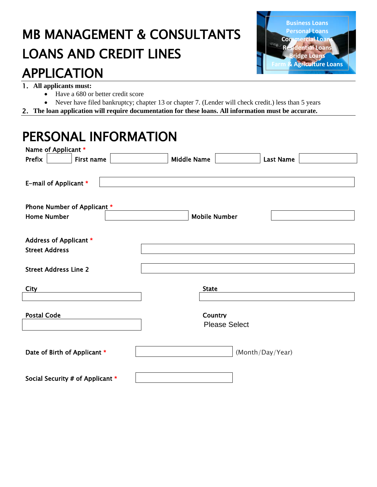## MB MANAGEMENT & CONSULTANTS LOANS AND CREDIT LINES



# APPLICATION 1. **All applicants must:**

- Have a 680 or better credit score
- Never have filed bankruptcy; chapter 13 or chapter 7. (Lender will check credit.) less than 5 years
- 2. **The loan application will require documentation for these loans. All information must be accurate.**

#### PERSONAL INFORMATION

| Name of Applicant *              |                                        |
|----------------------------------|----------------------------------------|
| Prefix<br>First name             | <b>Middle Name</b><br><b>Last Name</b> |
|                                  |                                        |
| E-mail of Applicant *            |                                        |
|                                  |                                        |
| Phone Number of Applicant *      |                                        |
| <b>Home Number</b>               | <b>Mobile Number</b>                   |
|                                  |                                        |
| Address of Applicant *           |                                        |
| <b>Street Address</b>            |                                        |
|                                  |                                        |
| <b>Street Address Line 2</b>     |                                        |
|                                  |                                        |
| <b>City</b>                      | <b>State</b>                           |
|                                  |                                        |
| <b>Postal Code</b>               | Country                                |
|                                  | <b>Please Select</b>                   |
|                                  |                                        |
|                                  |                                        |
| Date of Birth of Applicant *     | (Month/Day/Year)                       |
|                                  |                                        |
| Social Security # of Applicant * |                                        |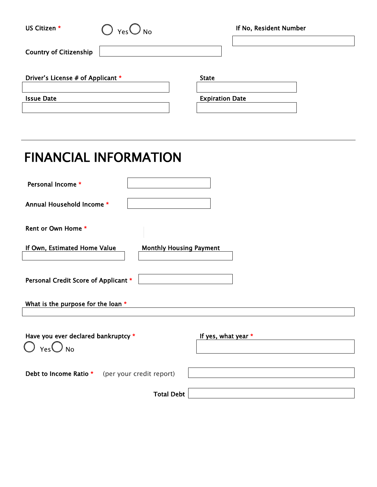| US Citizen *                                                      |                                                 |                                        | If No, Resident Number |  |  |
|-------------------------------------------------------------------|-------------------------------------------------|----------------------------------------|------------------------|--|--|
| <b>Country of Citizenship</b>                                     |                                                 |                                        |                        |  |  |
| Driver's License # of Applicant *<br><b>Issue Date</b>            |                                                 | <b>State</b><br><b>Expiration Date</b> |                        |  |  |
|                                                                   |                                                 |                                        |                        |  |  |
| <b>FINANCIAL INFORMATION</b>                                      |                                                 |                                        |                        |  |  |
| Personal Income *                                                 |                                                 |                                        |                        |  |  |
| Annual Household Income *                                         |                                                 |                                        |                        |  |  |
| Rent or Own Home *                                                |                                                 |                                        |                        |  |  |
| If Own, Estimated Home Value<br><b>Monthly Housing Payment</b>    |                                                 |                                        |                        |  |  |
| Personal Credit Score of Applicant *                              |                                                 |                                        |                        |  |  |
| What is the purpose for the loan *                                |                                                 |                                        |                        |  |  |
| Have you ever declared bankruptcy *<br>$\bigcup$ Yes $\bigcup$ No |                                                 | If yes, what year *                    |                        |  |  |
|                                                                   | Debt to Income Ratio * (per your credit report) |                                        |                        |  |  |
|                                                                   | <b>Total Debt</b>                               |                                        |                        |  |  |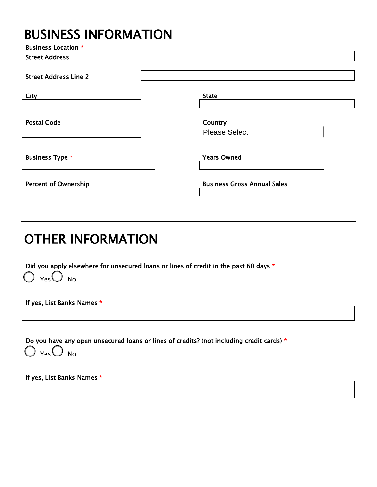#### **BUSINESS INFORMATION**

| <b>Business Location *</b>   |                                    |
|------------------------------|------------------------------------|
| <b>Street Address</b>        |                                    |
| <b>Street Address Line 2</b> |                                    |
| City                         | <b>State</b>                       |
|                              |                                    |
| <b>Postal Code</b>           | Country                            |
|                              | <b>Please Select</b>               |
|                              |                                    |
| <b>Business Type *</b>       | <b>Years Owned</b>                 |
| <b>Percent of Ownership</b>  | <b>Business Gross Annual Sales</b> |
|                              |                                    |

#### OTHER INFORMATION

Did you apply elsewhere for unsecured loans or lines of credit in the past 60 days \*  $\bigcirc$  Yes $\bigcirc$  No

If yes, List Banks Names \*

Do you have any open unsecured loans or lines of credits? (not including credit cards) \*

 $\bigcirc$   $_{\mathsf{Yes}}\bigcirc$  no

If yes, List Banks Names \*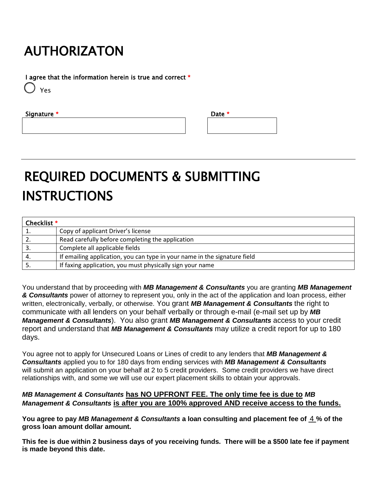### AUTHORIZATON

I agree that the information herein is true and correct \*

Yes

Signature  $*$ 

| Date * |  |  |
|--------|--|--|
|        |  |  |
|        |  |  |
|        |  |  |

## REQUIRED DOCUMENTS & SUBMITTING INSTRUCTIONS

| Checklist * |                                                                           |
|-------------|---------------------------------------------------------------------------|
|             | Copy of applicant Driver's license                                        |
|             | Read carefully before completing the application                          |
|             | Complete all applicable fields                                            |
|             | If emailing application, you can type in your name in the signature field |
|             | If faxing application, you must physically sign your name                 |

You understand that by proceeding with *MB Management & Consultants* you are granting *MB Management & Consultants* power of attorney to represent you, only in the act of the application and loan process, either written, electronically, verbally, or otherwise. You grant *MB Management & Consultants* the right to communicate with all lenders on your behalf verbally or through e-mail (e-mail set up by *MB Management & Consultants*). You also grant *MB Management & Consultants* access to your credit report and understand that *MB Management & Consultants* may utilize a credit report for up to 180 days.

You agree not to apply for Unsecured Loans or Lines of credit to any lenders that *MB Management & Consultants* applied you to for 180 days from ending services with *MB Management & Consultants* will submit an application on your behalf at 2 to 5 credit providers. Some credit providers we have direct relationships with, and some we will use our expert placement skills to obtain your approvals.

#### *MB Management & Consultants* **has NO UPFRONT FEE. The only time fee is due to** *MB Management & Consultants* **is after you are 100% approved AND receive access to the funds.**

You agree to pay *MB Management & Consultants* a loan consulting and placement fee of <u>4 %</u> of the **gross loan amount dollar amount.**

**This fee is due within 2 business days of you receiving funds. There will be a \$500 late fee if payment is made beyond this date.**